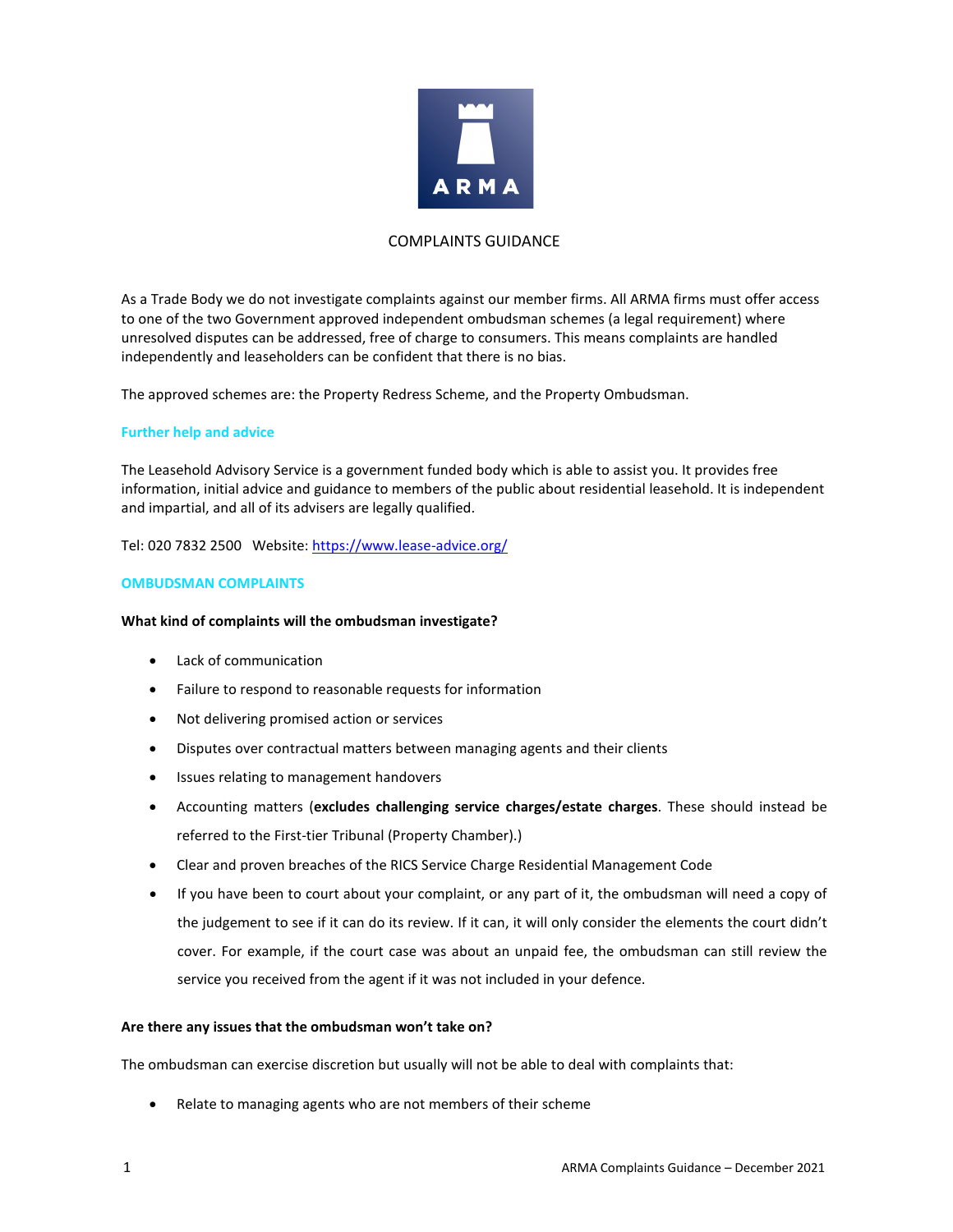

# COMPLAINTS GUIDANCE

As a Trade Body we do not investigate complaints against our member firms. All ARMA firms must offer access to one of the two Government approved independent ombudsman schemes (a legal requirement) where unresolved disputes can be addressed, free of charge to consumers. This means complaints are handled independently and leaseholders can be confident that there is no bias.

The approved schemes are: the Property Redress Scheme, and the Property Ombudsman.

# **Further help and advice**

The Leasehold Advisory Service is a government funded body which is able to assist you. It provides free information, initial advice and guidance to members of the public about residential leasehold. It is independent and impartial, and all of its advisers are legally qualified.

Tel: 020 7832 2500 Website[: https://www.lease-advice.org/](https://www.lease-advice.org/)

# **OMBUDSMAN COMPLAINTS**

## **What kind of complaints will the ombudsman investigate?**

- Lack of communication
- Failure to respond to reasonable requests for information
- Not delivering promised action or services
- Disputes over contractual matters between managing agents and their clients
- Issues relating to management handovers
- Accounting matters (**excludes challenging service charges/estate charges**. These should instead be referred to the First-tier Tribunal (Property Chamber).)
- Clear and proven breaches of the RICS Service Charge Residential Management Code
- If you have been to court about your complaint, or any part of it, the ombudsman will need a copy of the judgement to see if it can do its review. If it can, it will only consider the elements the court didn't cover. For example, if the court case was about an unpaid fee, the ombudsman can still review the service you received from the agent if it was not included in your defence.

## **Are there any issues that the ombudsman won't take on?**

The ombudsman can exercise discretion but usually will not be able to deal with complaints that:

• Relate to managing agents who are not members of their scheme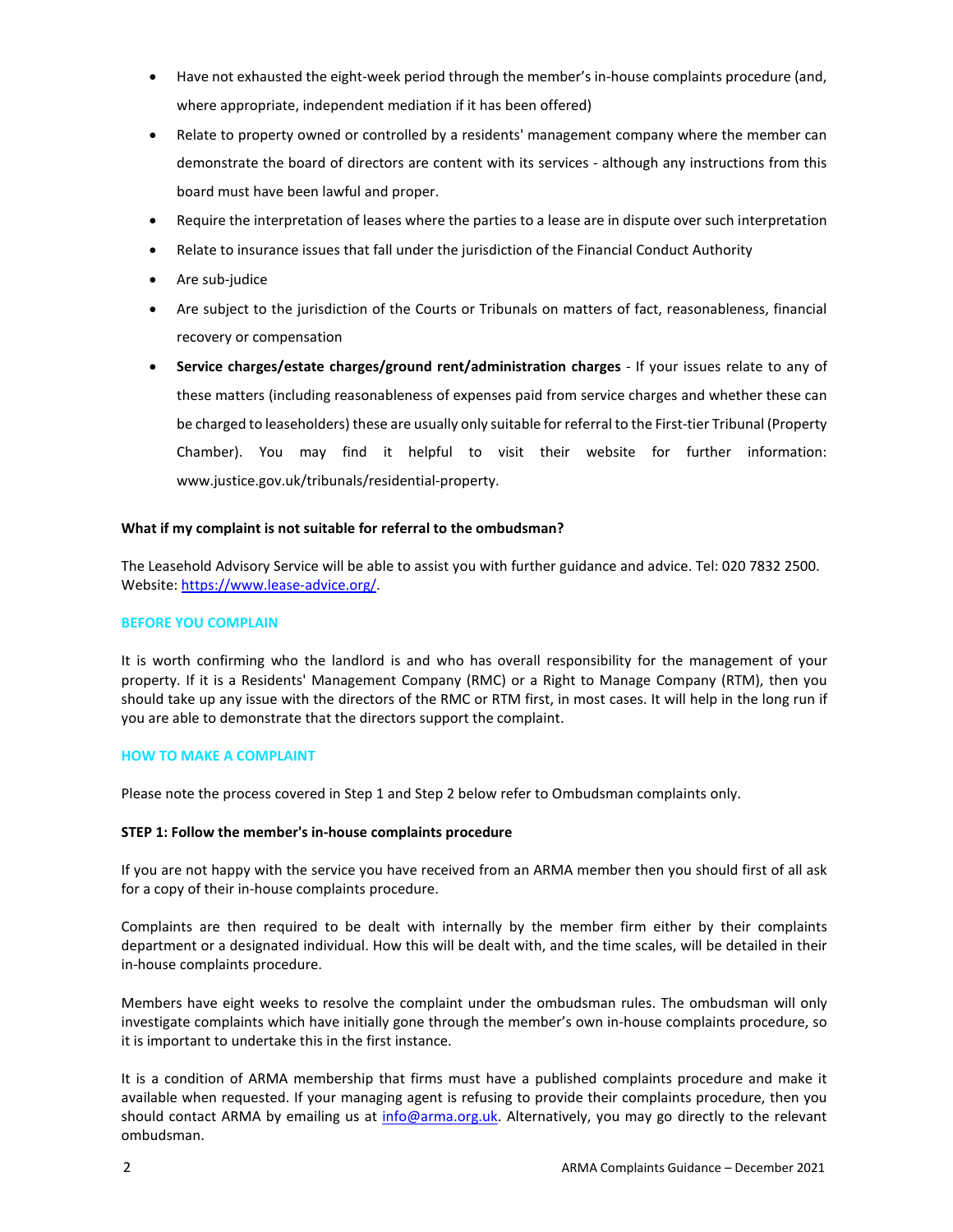- Have not exhausted the eight-week period through the member's in-house complaints procedure (and, where appropriate, independent mediation if it has been offered)
- Relate to property owned or controlled by a residents' management company where the member can demonstrate the board of directors are content with its services - although any instructions from this board must have been lawful and proper.
- Require the interpretation of leases where the parties to a lease are in dispute over such interpretation
- Relate to insurance issues that fall under the jurisdiction of the Financial Conduct Authority
- Are sub-judice
- Are subject to the jurisdiction of the Courts or Tribunals on matters of fact, reasonableness, financial recovery or compensation
- **Service charges/estate charges/ground rent/administration charges** If your issues relate to any of these matters (including reasonableness of expenses paid from service charges and whether these can be charged to leaseholders) these are usually only suitable for referral to the First-tier Tribunal (Property Chamber). You may find it helpful to visit their website for further information: [www.justice.gov.uk/tribunals/residential-property.](http://www.justice.gov.uk/tribunals/residential-property)

# **What if my complaint is not suitable for referral to the ombudsman?**

The Leasehold Advisory Service will be able to assist you with further guidance and advice. Tel: 020 7832 2500. Website[: https://www.lease-advice.org/.](https://www.lease-advice.org/)

## **BEFORE YOU COMPLAIN**

It is worth confirming who the landlord is and who has overall responsibility for the management of your property. If it is a Residents' Management Company (RMC) or a Right to Manage Company (RTM), then you should take up any issue with the directors of the RMC or RTM first, in most cases. It will help in the long run if you are able to demonstrate that the directors support the complaint.

## **HOW TO MAKE A COMPLAINT**

Please note the process covered in Step 1 and Step 2 below refer to Ombudsman complaints only.

# **STEP 1: Follow the member's in-house complaints procedure**

If you are not happy with the service you have received from an ARMA member then you should first of all ask for a copy of their in-house complaints procedure.

Complaints are then required to be dealt with internally by the member firm either by their complaints department or a designated individual. How this will be dealt with, and the time scales, will be detailed in their in-house complaints procedure.

Members have eight weeks to resolve the complaint under the ombudsman rules. The ombudsman will only investigate complaints which have initially gone through the member's own in-house complaints procedure, so it is important to undertake this in the first instance.

It is a condition of ARMA membership that firms must have a published complaints procedure and make it available when requested. If your managing agent is refusing to provide their complaints procedure, then you should contact ARMA by emailing us at [info@arma.org.uk.](mailto:info@arma.org.uk) Alternatively, you may go directly to the relevant ombudsman.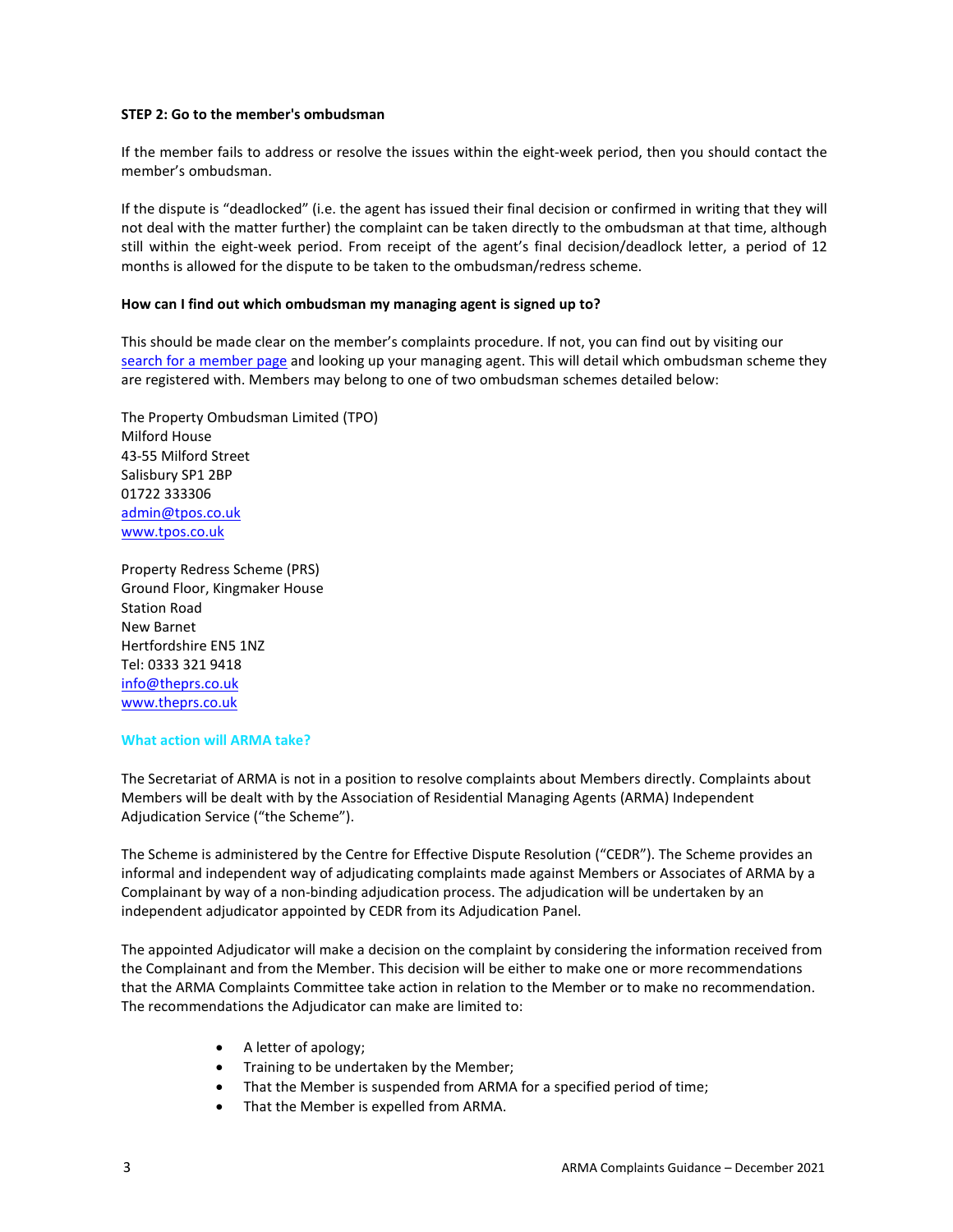## **STEP 2: Go to the member's ombudsman**

If the member fails to address or resolve the issues within the eight-week period, then you should contact the member's ombudsman.

If the dispute is "deadlocked" (i.e. the agent has issued their final decision or confirmed in writing that they will not deal with the matter further) the complaint can be taken directly to the ombudsman at that time, although still within the eight-week period. From receipt of the agent's final decision/deadlock letter, a period of 12 months is allowed for the dispute to be taken to the ombudsman/redress scheme.

# **How can I find out which ombudsman my managing agent is signed up to?**

This should be made clear on the member's complaints procedure. If not, you can find out by visiting our [search for a member page](https://arma.org.uk/leaseholders/search-for-a-member) and looking up your managing agent. This will detail which ombudsman scheme they are registered with. Members may belong to one of two ombudsman schemes detailed below:

The Property Ombudsman Limited (TPO) Milford House 43-55 Milford Street Salisbury SP1 2BP 01722 333306 [admin@tpos.co.uk](mailto:admin@tpos.co.uk) [www.tpos.co.uk](http://www.tpos.co.uk/)

Property Redress Scheme (PRS) Ground Floor, Kingmaker House Station Road New Barnet Hertfordshire EN5 1NZ Tel: 0333 321 9418 [info@theprs.co.uk](mailto:info@theprs.co.uk) [www.theprs.co.uk](http://www.theprs.co.uk/)

## **What action will ARMA take?**

The Secretariat of ARMA is not in a position to resolve complaints about Members directly. Complaints about Members will be dealt with by the Association of Residential Managing Agents (ARMA) Independent Adjudication Service ("the Scheme").

The Scheme is administered by the Centre for Effective Dispute Resolution ("CEDR"). The Scheme provides an informal and independent way of adjudicating complaints made against Members or Associates of ARMA by a Complainant by way of a non-binding adjudication process. The adjudication will be undertaken by an independent adjudicator appointed by CEDR from its Adjudication Panel.

The appointed Adjudicator will make a decision on the complaint by considering the information received from the Complainant and from the Member. This decision will be either to make one or more recommendations that the ARMA Complaints Committee take action in relation to the Member or to make no recommendation. The recommendations the Adjudicator can make are limited to:

- A letter of apology;
- Training to be undertaken by the Member;
- That the Member is suspended from ARMA for a specified period of time;
- That the Member is expelled from ARMA.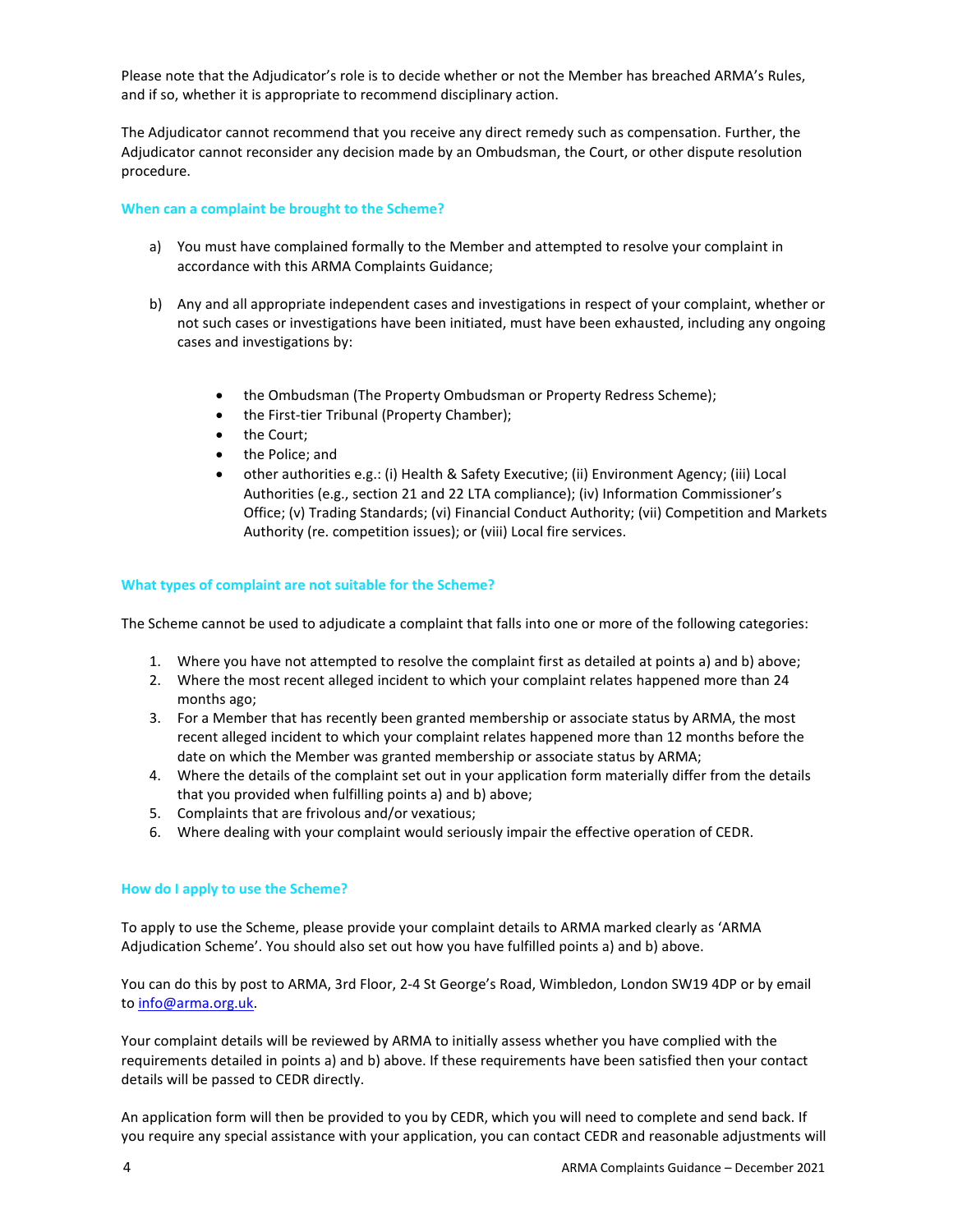Please note that the Adjudicator's role is to decide whether or not the Member has breached ARMA's Rules, and if so, whether it is appropriate to recommend disciplinary action.

The Adjudicator cannot recommend that you receive any direct remedy such as compensation. Further, the Adjudicator cannot reconsider any decision made by an Ombudsman, the Court, or other dispute resolution procedure.

## **When can a complaint be brought to the Scheme?**

- a) You must have complained formally to the Member and attempted to resolve your complaint in accordance with this ARMA Complaints Guidance;
- b) Any and all appropriate independent cases and investigations in respect of your complaint, whether or not such cases or investigations have been initiated, must have been exhausted, including any ongoing cases and investigations by:
	- the Ombudsman (The Property Ombudsman or Property Redress Scheme);
	- the First-tier Tribunal (Property Chamber);
	- the Court;
	- the Police; and
	- other authorities e.g.: (i) Health & Safety Executive; (ii) Environment Agency; (iii) Local Authorities (e.g., section 21 and 22 LTA compliance); (iv) Information Commissioner's Office; (v) Trading Standards; (vi) Financial Conduct Authority; (vii) Competition and Markets Authority (re. competition issues); or (viii) Local fire services.

# **What types of complaint are not suitable for the Scheme?**

The Scheme cannot be used to adjudicate a complaint that falls into one or more of the following categories:

- 1. Where you have not attempted to resolve the complaint first as detailed at points a) and b) above;
- 2. Where the most recent alleged incident to which your complaint relates happened more than 24 months ago;
- 3. For a Member that has recently been granted membership or associate status by ARMA, the most recent alleged incident to which your complaint relates happened more than 12 months before the date on which the Member was granted membership or associate status by ARMA;
- 4. Where the details of the complaint set out in your application form materially differ from the details that you provided when fulfilling points a) and b) above;
- 5. Complaints that are frivolous and/or vexatious;
- 6. Where dealing with your complaint would seriously impair the effective operation of CEDR.

## **How do I apply to use the Scheme?**

To apply to use the Scheme, please provide your complaint details to ARMA marked clearly as 'ARMA Adjudication Scheme'. You should also set out how you have fulfilled points a) and b) above.

You can do this by post to ARMA, 3rd Floor, 2-4 St George's Road, Wimbledon, London SW19 4DP or by email to [info@arma.org.uk.](mailto:info@arma.org.uk)

Your complaint details will be reviewed by ARMA to initially assess whether you have complied with the requirements detailed in points a) and b) above. If these requirements have been satisfied then your contact details will be passed to CEDR directly.

An application form will then be provided to you by CEDR, which you will need to complete and send back. If you require any special assistance with your application, you can contact CEDR and reasonable adjustments will